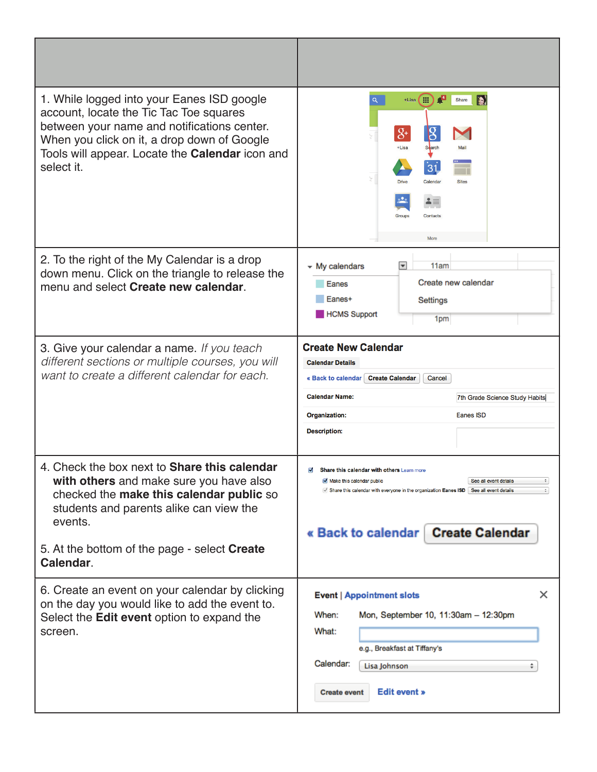| 1. While logged into your Eanes ISD google<br>account, locate the Tic Tac Toe squares<br>between your name and notifications center.<br>When you click on it, a drop down of Google<br>Tools will appear. Locate the <b>Calendar</b> icon and<br>select it.   | Đ<br>罬<br>Q.<br>+Lisa<br>Share<br>$8+$<br>+Lisa<br><b>Search</b><br>$\overline{31}$<br>Calendar<br>Drive<br><b>Sites</b><br>Groups<br>Contacts<br>More                                                                                                     |
|---------------------------------------------------------------------------------------------------------------------------------------------------------------------------------------------------------------------------------------------------------------|------------------------------------------------------------------------------------------------------------------------------------------------------------------------------------------------------------------------------------------------------------|
| 2. To the right of the My Calendar is a drop<br>down menu. Click on the triangle to release the<br>menu and select Create new calendar.                                                                                                                       | - My calendars<br>$\overline{\mathbf{v}}$<br>11am<br>Create new calendar<br>Eanes<br>Eanes+<br>Settings<br><b>HCMS Support</b><br>1pm                                                                                                                      |
| 3. Give your calendar a name. If you teach<br>different sections or multiple courses, you will<br>want to create a different calendar for each.                                                                                                               | <b>Create New Calendar</b><br><b>Calendar Details</b><br>« Back to calendar<br><b>Create Calendar</b><br>Cancel<br><b>Calendar Name:</b><br>7th Grade Science Study Habits<br>Organization:<br>Eanes ISD<br><b>Description:</b>                            |
| 4. Check the box next to <b>Share this calendar</b><br>with others and make sure you have also<br>checked the make this calendar public so<br>students and parents alike can view the<br>events.<br>5. At the bottom of the page - select Create<br>Calendar. | Share this calendar with others Learn more<br>M<br>Make this calendar public<br>See all event details<br>Share this calendar with everyone in the organization Eanes ISD   See all event details<br>$\div$<br>« Back to calendar<br><b>Create Calendar</b> |
| 6. Create an event on your calendar by clicking<br>on the day you would like to add the event to.<br>Select the <b>Edit event</b> option to expand the<br>screen.                                                                                             | ×<br><b>Event   Appointment slots</b><br>Mon, September 10, 11:30am - 12:30pm<br>When:<br>What:<br>e.g., Breakfast at Tiffany's<br>Calendar:<br>Lisa Johnson<br><b>Edit event »</b><br><b>Create event</b>                                                 |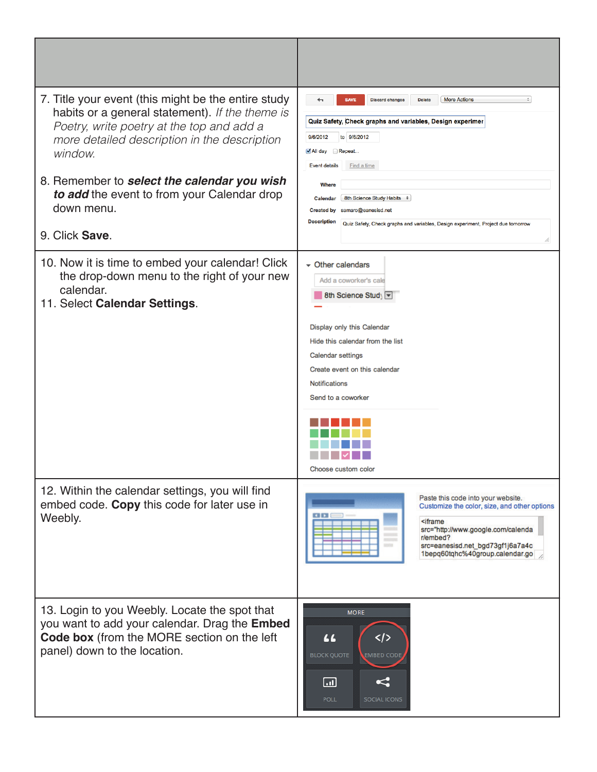| 7. Title your event (this might be the entire study<br>habits or a general statement). If the theme is<br>Poetry, write poetry at the top and add a<br>more detailed description in the description<br>window.<br>8. Remember to select the calendar you wish<br>to add the event to from your Calendar drop<br>down menu.<br>9. Click Save. | <b>SAVE</b><br><b>More Actions</b><br>$\div$<br>←<br><b>Discard changes</b><br><b>Delete</b><br>Quiz Safety, Check graphs and variables, Design experimer<br>9/6/2012<br>to 9/6/2012<br>All day Repeat<br><b>Event details</b><br>Find a time<br>Where<br>8th Science Study Habits $\div$<br>Calendar<br>Created by samaro@eanesisd.net<br><b>Description</b><br>Quiz Safety, Check graphs and variables, Design experiment, Project due tomorrow |
|----------------------------------------------------------------------------------------------------------------------------------------------------------------------------------------------------------------------------------------------------------------------------------------------------------------------------------------------|---------------------------------------------------------------------------------------------------------------------------------------------------------------------------------------------------------------------------------------------------------------------------------------------------------------------------------------------------------------------------------------------------------------------------------------------------|
| 10. Now it is time to embed your calendar! Click<br>the drop-down menu to the right of your new<br>calendar.<br>11. Select Calendar Settings.                                                                                                                                                                                                | $\sim$ Other calendars<br>Add a coworker's cale<br>8th Science Stud) ▼<br>Display only this Calendar<br>Hide this calendar from the list<br>Calendar settings<br>Create event on this calendar<br><b>Notifications</b><br>Send to a coworker<br>Choose custom color                                                                                                                                                                               |
| 12. Within the calendar settings, you will find<br>embed code. Copy this code for later use in<br>Weebly.                                                                                                                                                                                                                                    | Paste this code into your website.<br>Customize the color, size, and other options<br><iframe<br>src="http://www.google.com/calenda<br/>r/embed?<br/>src=eanesisd.net_bgd73gf1j6a7a4c<br/>120528<br/>1bepq60tqhc%40group.calendar.go</iframe<br>                                                                                                                                                                                                  |
| 13. Login to you Weebly. Locate the spot that<br>you want to add your calendar. Drag the Embed<br>Code box (from the MORE section on the left<br>panel) down to the location.                                                                                                                                                                | <b>MORE</b><br><br>44<br><b>BLOCK QUOTE</b><br><b>EMBED CODE</b><br>$\boxed{}$<br><b>POLL</b><br><b>SOCIAL ICONS</b>                                                                                                                                                                                                                                                                                                                              |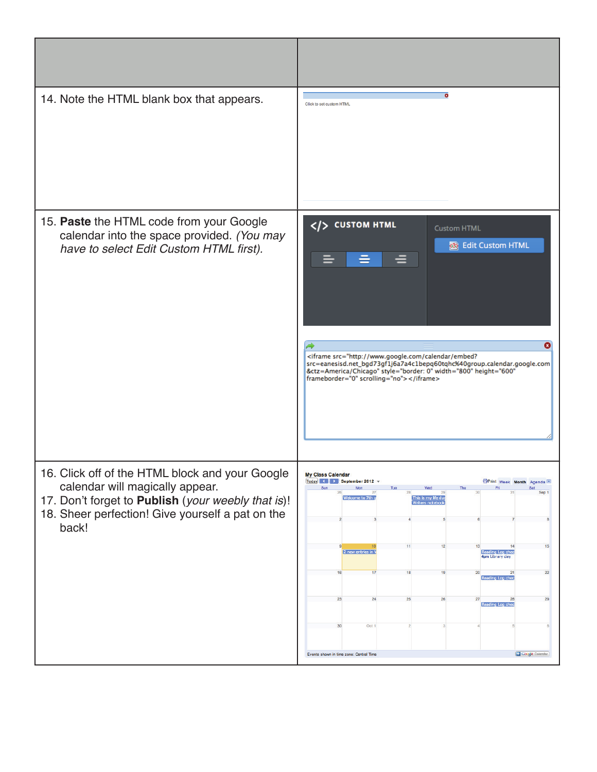| 14. Note the HTML blank box that appears.                                                                                                                                                             | $\bullet$<br>Click to set custom HTML                                                                                                                                                                                                                                                                                                                                                                                                                                                                   |
|-------------------------------------------------------------------------------------------------------------------------------------------------------------------------------------------------------|---------------------------------------------------------------------------------------------------------------------------------------------------------------------------------------------------------------------------------------------------------------------------------------------------------------------------------------------------------------------------------------------------------------------------------------------------------------------------------------------------------|
| 15. Paste the HTML code from your Google<br>calendar into the space provided. (You may<br>have to select Edit Custom HTML first).                                                                     | $\langle$ /> CUSTOM HTML<br><b>Custom HTML</b><br><b>Edit Custom HTML</b><br>Q<br><iframe <br="" height="600" src="http://www.google.com/calendar/embed?&lt;br&gt;src=eanesisd.net_bgd73gf1j6a7a4c1bepq60tqhc%40group.calendar.google.com&lt;br&gt;&amp;ctz=America/Chicago" style="border: 0" width="800">frameborder="0" scrolling="no"&gt;</iframe>                                                                                                                                                  |
| 16. Click off of the HTML block and your Google<br>calendar will magically appear.<br>17. Don't forget to Publish (your weebly that is)!<br>18. Sheer perfection! Give yourself a pat on the<br>back! | My Class Calendar<br>Today (     September 2012 v<br><b>OPrint</b> Week Month Agenda<br>Sun<br>Mon<br>Fri<br>Tue<br>Sat<br>Welcome to 7th g<br>This is my life due<br><b>Writers notebook</b><br>12<br>15<br>11<br>14<br>2 new entries in V<br><b>Reading Log ched</b><br>4pm Library day<br>17<br>18<br>19<br>21<br>22<br>20<br>Reading Log chec<br>26<br>29<br>23<br>27<br>28<br>24<br>25<br>Reading Log chec<br>Oct 1<br>30<br><b>El Google</b> Calendar.<br>Events shown in time zone: Central Time |